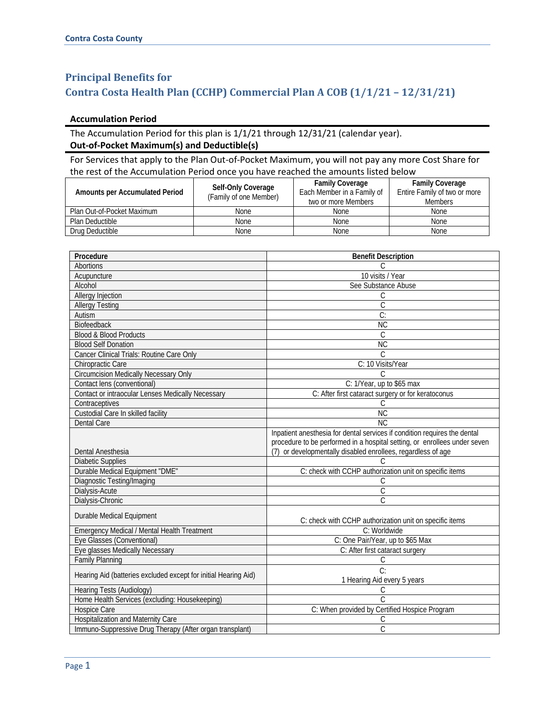## **Principal Benefits for Contra Costa Health Plan (CCHP) Commercial Plan A COB (1/1/21 – 12/31/21)**

## **Accumulation Period**

## The Accumulation Period for this plan is 1/1/21 through 12/31/21 (calendar year). **Out-of-Pocket Maximum(s) and Deductible(s)**

For Services that apply to the Plan Out-of-Pocket Maximum, you will not pay any more Cost Share for the rest of the Accumulation Period once you have reached the amounts listed below

| Amounts per Accumulated Period | Self-Only Coverage<br>(Family of one Member) | <b>Family Coverage</b><br>Each Member in a Family of<br>two or more Members | <b>Family Coverage</b><br>Entire Family of two or more<br><b>Members</b> |
|--------------------------------|----------------------------------------------|-----------------------------------------------------------------------------|--------------------------------------------------------------------------|
| Plan Out-of-Pocket Maximum     | None                                         | <b>None</b>                                                                 | <b>None</b>                                                              |
| Plan Deductible                | None                                         | <b>None</b>                                                                 | <b>None</b>                                                              |
| Drug Deductible                | None                                         | None                                                                        | None                                                                     |

| Procedure                                                       | <b>Benefit Description</b>                                                                                                                             |  |
|-----------------------------------------------------------------|--------------------------------------------------------------------------------------------------------------------------------------------------------|--|
| <b>Abortions</b>                                                | $\mathcal{C}$                                                                                                                                          |  |
| Acupuncture                                                     | 10 visits / Year                                                                                                                                       |  |
| Alcohol                                                         | See Substance Abuse                                                                                                                                    |  |
| Allergy Injection                                               | С                                                                                                                                                      |  |
| <b>Allergy Testing</b>                                          | C                                                                                                                                                      |  |
| Autism                                                          | $\overline{C}$                                                                                                                                         |  |
| Biofeedback                                                     | <b>NC</b>                                                                                                                                              |  |
| <b>Blood &amp; Blood Products</b>                               | C                                                                                                                                                      |  |
| <b>Blood Self Donation</b>                                      | $\overline{\text{NC}}$                                                                                                                                 |  |
| Cancer Clinical Trials: Routine Care Only                       | C                                                                                                                                                      |  |
| Chiropractic Care                                               | C: 10 Visits/Year                                                                                                                                      |  |
| <b>Circumcision Medically Necessary Only</b>                    | C                                                                                                                                                      |  |
| Contact lens (conventional)                                     | C: 1/Year, up to \$65 max                                                                                                                              |  |
| Contact or intraocular Lenses Medically Necessary               | C: After first cataract surgery or for keratoconus                                                                                                     |  |
| Contraceptives                                                  | C                                                                                                                                                      |  |
| Custodial Care In skilled facility                              | <b>NC</b>                                                                                                                                              |  |
| <b>Dental Care</b>                                              | NC                                                                                                                                                     |  |
|                                                                 | Inpatient anesthesia for dental services if condition requires the dental<br>procedure to be performed in a hospital setting, or enrollees under seven |  |
| Dental Anesthesia                                               | (7) or developmentally disabled enrollees, regardless of age                                                                                           |  |
| <b>Diabetic Supplies</b>                                        |                                                                                                                                                        |  |
| Durable Medical Equipment "DME"                                 | C: check with CCHP authorization unit on specific items                                                                                                |  |
| Diagnostic Testing/Imaging                                      | С                                                                                                                                                      |  |
| Dialysis-Acute                                                  | $\mathsf C$                                                                                                                                            |  |
| Dialysis-Chronic                                                | $\overline{\mathsf{C}}$                                                                                                                                |  |
| Durable Medical Equipment                                       | C: check with CCHP authorization unit on specific items                                                                                                |  |
| <b>Emergency Medical / Mental Health Treatment</b>              | C: Worldwide                                                                                                                                           |  |
| Eye Glasses (Conventional)                                      | C: One Pair/Year, up to \$65 Max                                                                                                                       |  |
| Eye glasses Medically Necessary                                 | C: After first cataract surgery                                                                                                                        |  |
| <b>Family Planning</b>                                          | C                                                                                                                                                      |  |
| Hearing Aid (batteries excluded except for initial Hearing Aid) | C:                                                                                                                                                     |  |
|                                                                 | 1 Hearing Aid every 5 years                                                                                                                            |  |
| Hearing Tests (Audiology)                                       | С                                                                                                                                                      |  |
| Home Health Services (excluding: Housekeeping)                  | $\mathcal{C}$                                                                                                                                          |  |
| Hospice Care                                                    | C: When provided by Certified Hospice Program                                                                                                          |  |
| Hospitalization and Maternity Care                              | С                                                                                                                                                      |  |
| Immuno-Suppressive Drug Therapy (After organ transplant)        | C                                                                                                                                                      |  |